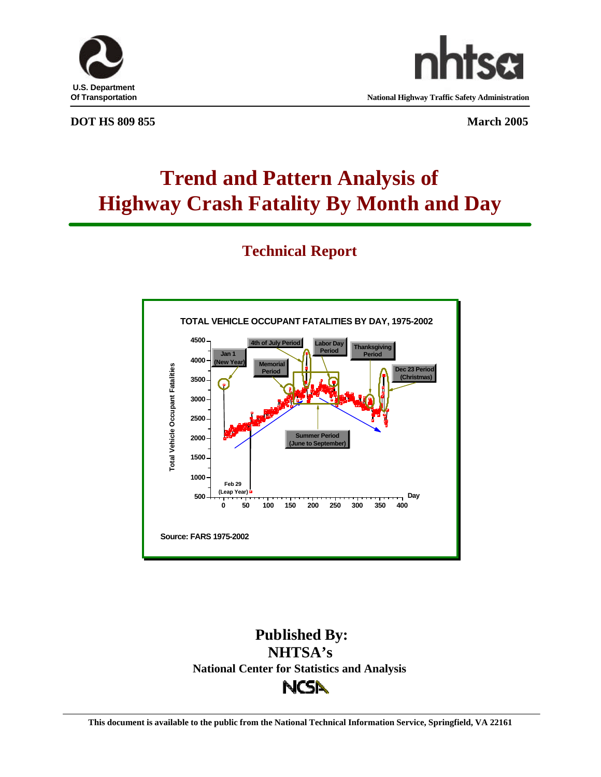



**Of Transportation National Highway Traffic Safety Administration**

#### **DOT HS 809 855** March 2005

# **Trend and Pattern Analysis of Highway Crash Fatality By Month and Day**

# **Technical Report**



# **Published By: NHTSA's National Center for Statistics and AnalysisNCSA**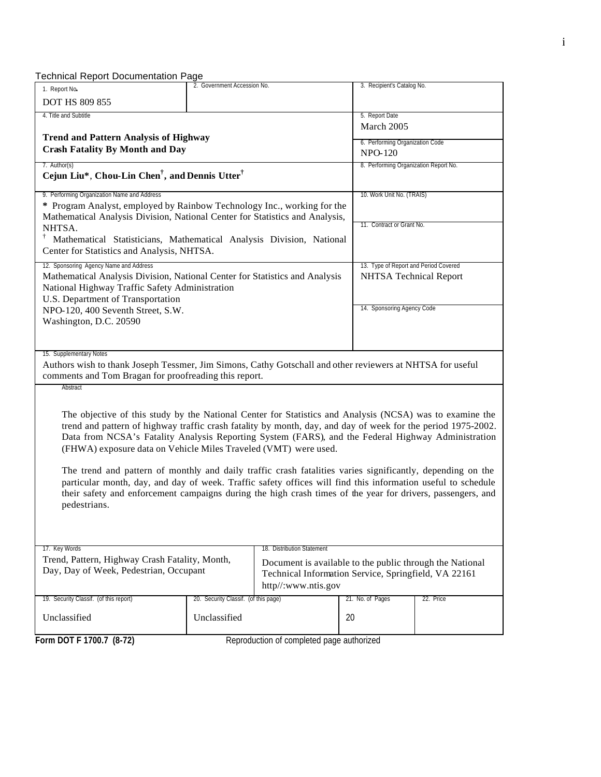Technical Report Documentation Page

| rechnical Report Documentation Page<br>1. Report No.                                                                                                                                                                                                                                                                                                                                                                                                                                                                                                                                                                                                                                                                                                           | 2. Government Accession No.                                                                                                             |                                           | 3. Recipient's Catalog No.      |                                       |  |
|----------------------------------------------------------------------------------------------------------------------------------------------------------------------------------------------------------------------------------------------------------------------------------------------------------------------------------------------------------------------------------------------------------------------------------------------------------------------------------------------------------------------------------------------------------------------------------------------------------------------------------------------------------------------------------------------------------------------------------------------------------------|-----------------------------------------------------------------------------------------------------------------------------------------|-------------------------------------------|---------------------------------|---------------------------------------|--|
| <b>DOT HS 809 855</b>                                                                                                                                                                                                                                                                                                                                                                                                                                                                                                                                                                                                                                                                                                                                          |                                                                                                                                         |                                           |                                 |                                       |  |
| 4. Title and Subtitle                                                                                                                                                                                                                                                                                                                                                                                                                                                                                                                                                                                                                                                                                                                                          |                                                                                                                                         |                                           | 5. Report Date                  |                                       |  |
|                                                                                                                                                                                                                                                                                                                                                                                                                                                                                                                                                                                                                                                                                                                                                                |                                                                                                                                         |                                           | March 2005                      |                                       |  |
| <b>Trend and Pattern Analysis of Highway</b>                                                                                                                                                                                                                                                                                                                                                                                                                                                                                                                                                                                                                                                                                                                   |                                                                                                                                         |                                           | 6. Performing Organization Code |                                       |  |
| <b>Crash Fatality By Month and Day</b>                                                                                                                                                                                                                                                                                                                                                                                                                                                                                                                                                                                                                                                                                                                         |                                                                                                                                         |                                           | <b>NPO-120</b>                  |                                       |  |
| 7. Author(s)                                                                                                                                                                                                                                                                                                                                                                                                                                                                                                                                                                                                                                                                                                                                                   |                                                                                                                                         |                                           |                                 | 8. Performing Organization Report No. |  |
| Cejun Liu*, Chou-Lin Chen <sup>†</sup> , and Dennis Utter <sup>†</sup>                                                                                                                                                                                                                                                                                                                                                                                                                                                                                                                                                                                                                                                                                         |                                                                                                                                         |                                           |                                 |                                       |  |
| 9. Performing Organization Name and Address                                                                                                                                                                                                                                                                                                                                                                                                                                                                                                                                                                                                                                                                                                                    |                                                                                                                                         |                                           | 10. Work Unit No. (TRAIS)       |                                       |  |
| * Program Analyst, employed by Rainbow Technology Inc., working for the                                                                                                                                                                                                                                                                                                                                                                                                                                                                                                                                                                                                                                                                                        |                                                                                                                                         |                                           |                                 |                                       |  |
| Mathematical Analysis Division, National Center for Statistics and Analysis,                                                                                                                                                                                                                                                                                                                                                                                                                                                                                                                                                                                                                                                                                   |                                                                                                                                         |                                           | 11. Contract or Grant No.       |                                       |  |
| NHTSA.                                                                                                                                                                                                                                                                                                                                                                                                                                                                                                                                                                                                                                                                                                                                                         |                                                                                                                                         |                                           |                                 |                                       |  |
| Ť,<br>Mathematical Statisticians, Mathematical Analysis Division, National<br>Center for Statistics and Analysis, NHTSA.                                                                                                                                                                                                                                                                                                                                                                                                                                                                                                                                                                                                                                       |                                                                                                                                         |                                           |                                 |                                       |  |
| 12. Sponsoring Agency Name and Address                                                                                                                                                                                                                                                                                                                                                                                                                                                                                                                                                                                                                                                                                                                         |                                                                                                                                         |                                           |                                 | 13. Type of Report and Period Covered |  |
| Mathematical Analysis Division, National Center for Statistics and Analysis<br>National Highway Traffic Safety Administration                                                                                                                                                                                                                                                                                                                                                                                                                                                                                                                                                                                                                                  |                                                                                                                                         |                                           |                                 | NHTSA Technical Report                |  |
| U.S. Department of Transportation                                                                                                                                                                                                                                                                                                                                                                                                                                                                                                                                                                                                                                                                                                                              |                                                                                                                                         |                                           | 14. Sponsoring Agency Code      |                                       |  |
| NPO-120, 400 Seventh Street, S.W.                                                                                                                                                                                                                                                                                                                                                                                                                                                                                                                                                                                                                                                                                                                              |                                                                                                                                         |                                           |                                 |                                       |  |
| Washington, D.C. 20590                                                                                                                                                                                                                                                                                                                                                                                                                                                                                                                                                                                                                                                                                                                                         |                                                                                                                                         |                                           |                                 |                                       |  |
| 15. Supplementary Notes<br>Authors wish to thank Joseph Tessmer, Jim Simons, Cathy Gotschall and other reviewers at NHTSA for useful<br>comments and Tom Bragan for proofreading this report.<br>Abstract                                                                                                                                                                                                                                                                                                                                                                                                                                                                                                                                                      |                                                                                                                                         |                                           |                                 |                                       |  |
| The objective of this study by the National Center for Statistics and Analysis (NCSA) was to examine the<br>trend and pattern of highway traffic crash fatality by month, day, and day of week for the period 1975-2002.<br>Data from NCSA's Fatality Analysis Reporting System (FARS), and the Federal Highway Administration<br>(FHWA) exposure data on Vehicle Miles Traveled (VMT) were used.<br>The trend and pattern of monthly and daily traffic crash fatalities varies significantly, depending on the<br>particular month, day, and day of week. Traffic safety offices will find this information useful to schedule<br>their safety and enforcement campaigns during the high crash times of the year for drivers, passengers, and<br>pedestrians. |                                                                                                                                         |                                           |                                 |                                       |  |
|                                                                                                                                                                                                                                                                                                                                                                                                                                                                                                                                                                                                                                                                                                                                                                |                                                                                                                                         |                                           |                                 |                                       |  |
| 17. Key Words<br>Trend, Pattern, Highway Crash Fatality, Month,                                                                                                                                                                                                                                                                                                                                                                                                                                                                                                                                                                                                                                                                                                | 18. Distribution Statement                                                                                                              |                                           |                                 |                                       |  |
| Day, Day of Week, Pedestrian, Occupant                                                                                                                                                                                                                                                                                                                                                                                                                                                                                                                                                                                                                                                                                                                         | Document is available to the public through the National<br>Technical Information Service, Springfield, VA 22161<br>http//:www.ntis.gov |                                           |                                 |                                       |  |
| 19. Security Classif. (of this report)                                                                                                                                                                                                                                                                                                                                                                                                                                                                                                                                                                                                                                                                                                                         | 20. Security Classif. (of this page)                                                                                                    |                                           | 21. No. of Pages                | 22. Price                             |  |
| Unclassified                                                                                                                                                                                                                                                                                                                                                                                                                                                                                                                                                                                                                                                                                                                                                   | Unclassified                                                                                                                            |                                           | 20                              |                                       |  |
| Form DOT F 1700.7 (8-72)                                                                                                                                                                                                                                                                                                                                                                                                                                                                                                                                                                                                                                                                                                                                       |                                                                                                                                         | Reproduction of completed page authorized |                                 |                                       |  |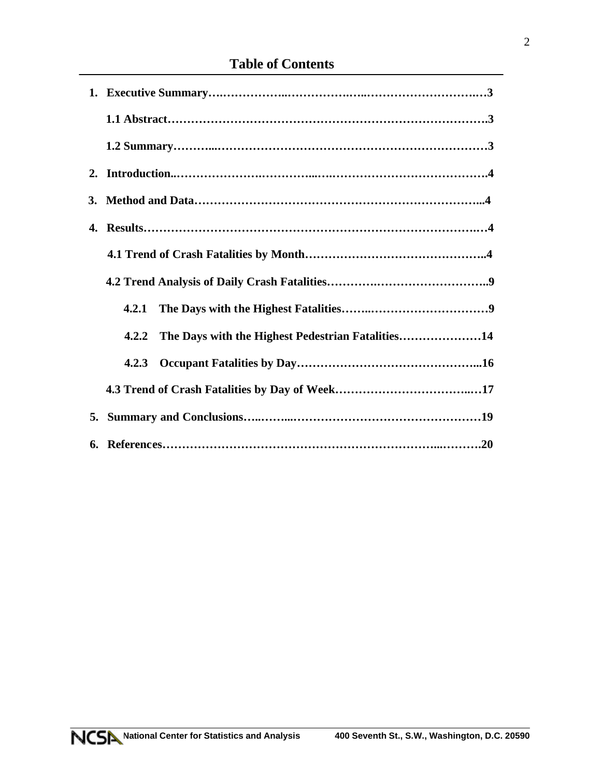# **Table of Contents**

| 4.2.1                                                      |
|------------------------------------------------------------|
| The Days with the Highest Pedestrian Fatalities14<br>4.2.2 |
|                                                            |
|                                                            |
|                                                            |
|                                                            |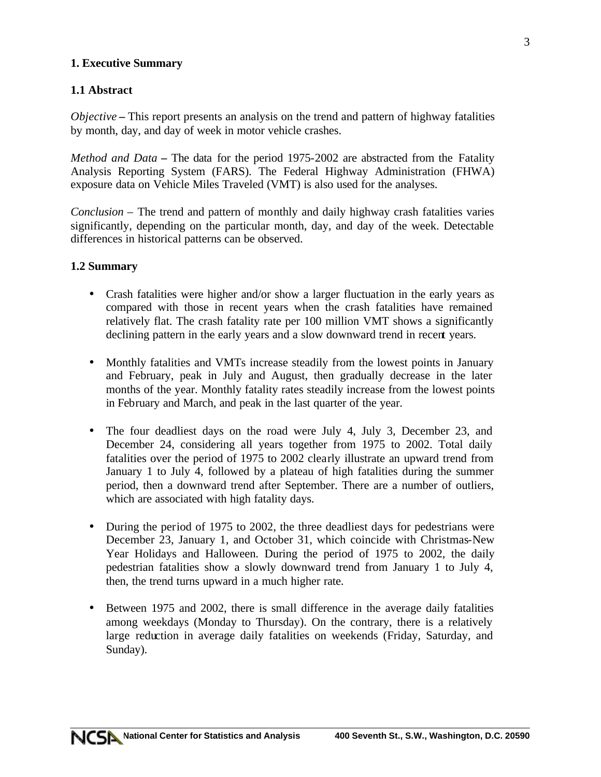### **1. Executive Summary**

# **1.1 Abstract**

*Objective* **–** This report presents an analysis on the trend and pattern of highway fatalities by month, day, and day of week in motor vehicle crashes.

*Method and Data* **–** The data for the period 1975-2002 are abstracted from the Fatality Analysis Reporting System (FARS). The Federal Highway Administration (FHWA) exposure data on Vehicle Miles Traveled (VMT) is also used for the analyses.

*Conclusion –* The trend and pattern of monthly and daily highway crash fatalities varies significantly, depending on the particular month, day, and day of the week. Detectable differences in historical patterns can be observed.

#### **1.2 Summary**

- Crash fatalities were higher and/or show a larger fluctuation in the early years as compared with those in recent years when the crash fatalities have remained relatively flat. The crash fatality rate per 100 million VMT shows a significantly declining pattern in the early years and a slow downward trend in recent years.
- Monthly fatalities and VMTs increase steadily from the lowest points in January and February, peak in July and August, then gradually decrease in the later months of the year. Monthly fatality rates steadily increase from the lowest points in February and March, and peak in the last quarter of the year.
- The four deadliest days on the road were July 4, July 3, December 23, and December 24, considering all years together from 1975 to 2002. Total daily fatalities over the period of 1975 to 2002 clearly illustrate an upward trend from January 1 to July 4, followed by a plateau of high fatalities during the summer period, then a downward trend after September. There are a number of outliers, which are associated with high fatality days.
- During the period of 1975 to 2002, the three deadliest days for pedestrians were December 23, January 1, and October 31, which coincide with Christmas-New Year Holidays and Halloween. During the period of 1975 to 2002, the daily pedestrian fatalities show a slowly downward trend from January 1 to July 4, then, the trend turns upward in a much higher rate.
- Between 1975 and 2002, there is small difference in the average daily fatalities among weekdays (Monday to Thursday). On the contrary, there is a relatively large reduction in average daily fatalities on weekends (Friday, Saturday, and Sunday).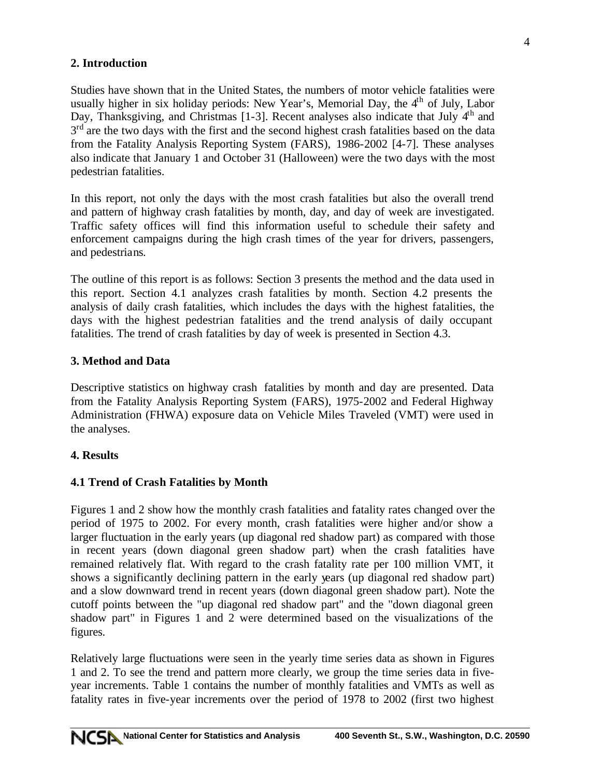# **2. Introduction**

Studies have shown that in the United States, the numbers of motor vehicle fatalities were usually higher in six holiday periods: New Year's, Memorial Day, the  $4<sup>th</sup>$  of July, Labor Day, Thanksgiving, and Christmas [1-3]. Recent analyses also indicate that July 4<sup>th</sup> and  $3<sup>rd</sup>$  are the two days with the first and the second highest crash fatalities based on the data from the Fatality Analysis Reporting System (FARS), 1986-2002 [4-7]. These analyses also indicate that January 1 and October 31 (Halloween) were the two days with the most pedestrian fatalities.

In this report, not only the days with the most crash fatalities but also the overall trend and pattern of highway crash fatalities by month, day, and day of week are investigated. Traffic safety offices will find this information useful to schedule their safety and enforcement campaigns during the high crash times of the year for drivers, passengers, and pedestrians.

The outline of this report is as follows: Section 3 presents the method and the data used in this report. Section 4.1 analyzes crash fatalities by month. Section 4.2 presents the analysis of daily crash fatalities, which includes the days with the highest fatalities, the days with the highest pedestrian fatalities and the trend analysis of daily occupant fatalities. The trend of crash fatalities by day of week is presented in Section 4.3.

# **3. Method and Data**

Descriptive statistics on highway crash fatalities by month and day are presented. Data from the Fatality Analysis Reporting System (FARS), 1975-2002 and Federal Highway Administration (FHWA) exposure data on Vehicle Miles Traveled (VMT) were used in the analyses.

# **4. Results**

# **4.1 Trend of Crash Fatalities by Month**

Figures 1 and 2 show how the monthly crash fatalities and fatality rates changed over the period of 1975 to 2002. For every month, crash fatalities were higher and/or show a larger fluctuation in the early years (up diagonal red shadow part) as compared with those in recent years (down diagonal green shadow part) when the crash fatalities have remained relatively flat. With regard to the crash fatality rate per 100 million VMT, it shows a significantly declining pattern in the early years (up diagonal red shadow part) and a slow downward trend in recent years (down diagonal green shadow part). Note the cutoff points between the "up diagonal red shadow part" and the "down diagonal green shadow part" in Figures 1 and 2 were determined based on the visualizations of the figures.

Relatively large fluctuations were seen in the yearly time series data as shown in Figures 1 and 2. To see the trend and pattern more clearly, we group the time series data in fiveyear increments. Table 1 contains the number of monthly fatalities and VMTs as well as fatality rates in five-year increments over the period of 1978 to 2002 (first two highest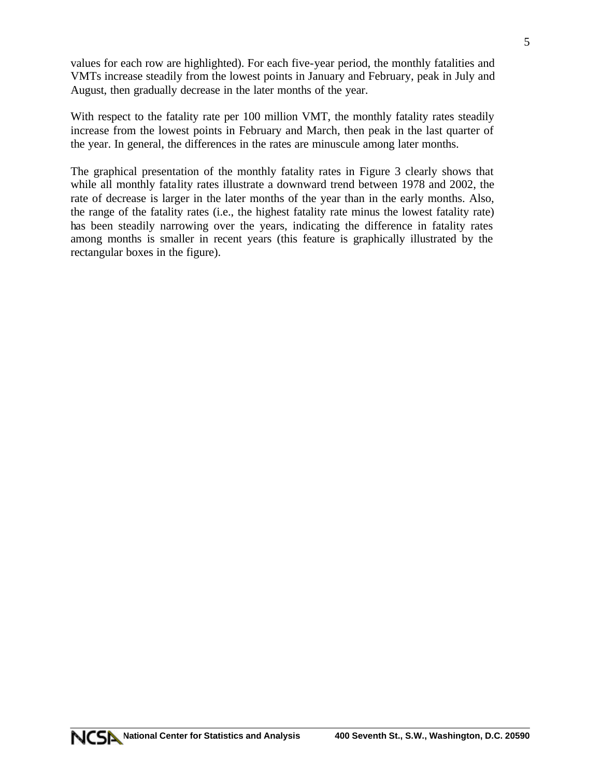values for each row are highlighted). For each five-year period, the monthly fatalities and VMTs increase steadily from the lowest points in January and February, peak in July and August, then gradually decrease in the later months of the year.

With respect to the fatality rate per 100 million VMT, the monthly fatality rates steadily increase from the lowest points in February and March, then peak in the last quarter of the year. In general, the differences in the rates are minuscule among later months.

The graphical presentation of the monthly fatality rates in Figure 3 clearly shows that while all monthly fatality rates illustrate a downward trend between 1978 and 2002, the rate of decrease is larger in the later months of the year than in the early months. Also, the range of the fatality rates (i.e., the highest fatality rate minus the lowest fatality rate) has been steadily narrowing over the years, indicating the difference in fatality rates among months is smaller in recent years (this feature is graphically illustrated by the rectangular boxes in the figure).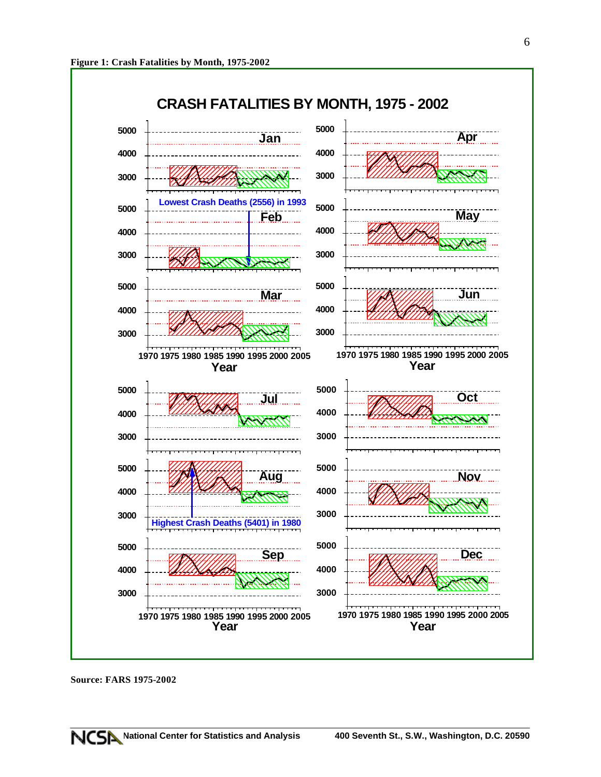

**Source: FARS 1975-2002**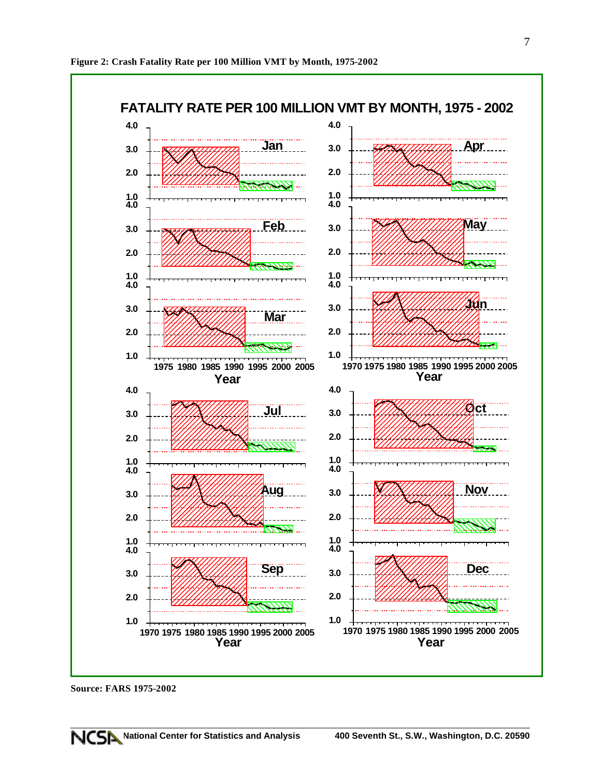

**Source: FARS 1975-2002**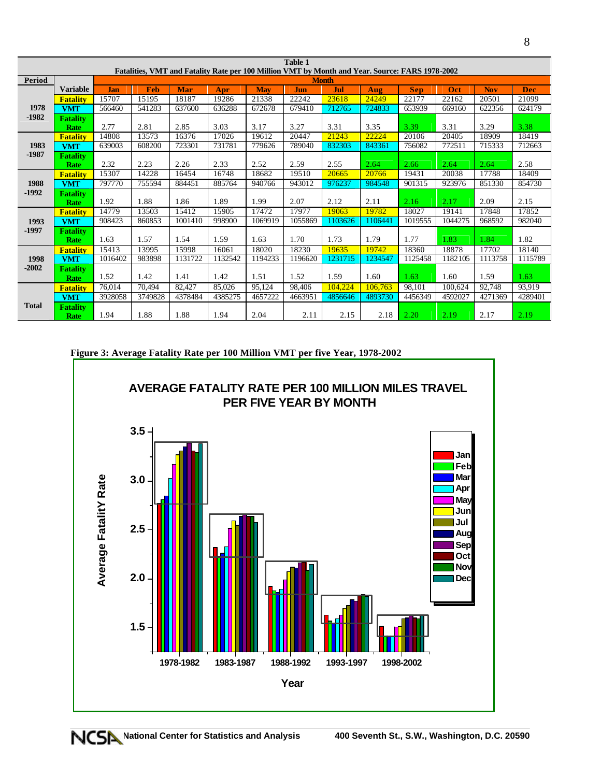| Table 1       |                 |            |            |            |         |            |         |                                                                                                 |         |            |         |            |            |
|---------------|-----------------|------------|------------|------------|---------|------------|---------|-------------------------------------------------------------------------------------------------|---------|------------|---------|------------|------------|
|               |                 |            |            |            |         |            |         | Fatalities, VMT and Fatality Rate per 100 Million VMT by Month and Year. Source: FARS 1978-2002 |         |            |         |            |            |
| <b>Period</b> |                 |            |            |            |         |            |         | <b>Month</b>                                                                                    |         |            |         |            |            |
|               | <b>Variable</b> | <b>Jan</b> | <b>Feb</b> | <b>Mar</b> | Apr     | <b>May</b> | Jun     | Jul                                                                                             | Aug     | <b>Sep</b> | Oct     | <b>Nov</b> | <b>Dec</b> |
|               | <b>Fatality</b> | 15707      | 15195      | 18187      | 19286   | 21338      | 22242   | 23618                                                                                           | 24249   | 22177      | 22162   | 20501      | 21099      |
| 1978          | <b>VMT</b>      | 566460     | 541283     | 637600     | 636288  | 672678     | 679410  | 712765                                                                                          | 724833  | 653939     | 669160  | 622356     | 624179     |
| $-1982$       | <b>Fatality</b> |            |            |            |         |            |         |                                                                                                 |         |            |         |            |            |
|               | <b>Rate</b>     | 2.77       | 2.81       | 2.85       | 3.03    | 3.17       | 3.27    | 3.31                                                                                            | 3.35    | 3.39       | 3.31    | 3.29       | 3.38       |
|               | <b>Fatality</b> | 14808      | 13573      | 16376      | 17026   | 19612      | 20447   | 21243                                                                                           | 22224   | 20106      | 20405   | 18909      | 18419      |
| 1983          | <b>VMT</b>      | 639003     | 608200     | 723301     | 731781  | 779626     | 789040  | 832303                                                                                          | 843361  | 756082     | 772511  | 715333     | 712663     |
| $-1987$       | <b>Fatality</b> |            |            |            |         |            |         |                                                                                                 |         |            |         |            |            |
|               | <b>Rate</b>     | 2.32       | 2.23       | 2.26       | 2.33    | 2.52       | 2.59    | 2.55                                                                                            | 2.64    | 2.66       | 2.64    | 2.64       | 2.58       |
|               | <b>Fatality</b> | 15307      | 14228      | 16454      | 16748   | 18682      | 19510   | 20665                                                                                           | 20766   | 19431      | 20038   | 17788      | 18409      |
| 1988          | <b>VMT</b>      | 797770     | 755594     | 884451     | 885764  | 940766     | 943012  | 976237                                                                                          | 984548  | 901315     | 923976  | 851330     | 854730     |
| $-1992$       | <b>Fatality</b> |            |            |            |         |            |         |                                                                                                 |         |            |         |            |            |
|               | <b>Rate</b>     | 1.92       | 1.88       | 1.86       | 1.89    | 1.99       | 2.07    | 2.12                                                                                            | 2.11    | 2.16       | 2.17    | 2.09       | 2.15       |
|               | <b>Fatality</b> | 14779      | 13503      | 15412      | 15905   | 17472      | 17977   | 19063                                                                                           | 19782   | 18027      | 19141   | 17848      | 17852      |
| 1993          | <b>VMT</b>      | 908423     | 860853     | 1001410    | 998900  | 1069919    | 1055869 | 1103626                                                                                         | 1106441 | 1019555    | 1044275 | 968592     | 982040     |
| $-1997$       | <b>Fatality</b> |            |            |            |         |            |         |                                                                                                 |         |            |         |            |            |
|               | <b>Rate</b>     | 1.63       | 1.57       | 1.54       | 1.59    | 1.63       | 1.70    | 1.73                                                                                            | 1.79    | 1.77       | 1.83    | 1.84       | 1.82       |
|               | <b>Fatality</b> | 15413      | 13995      | 15998      | 16061   | 18020      | 18230   | 19635                                                                                           | 19742   | 18360      | 18878   | 17702      | 18140      |
| 1998          | <b>VMT</b>      | 1016402    | 983898     | 1131722    | 1132542 | 1194233    | 1196620 | 1231715                                                                                         | 1234547 | 1125458    | 1182105 | 1113758    | 1115789    |
| $-2002$       | <b>Fatality</b> |            |            |            |         |            |         |                                                                                                 |         |            |         |            |            |
|               | <b>Rate</b>     | 1.52       | 1.42       | 1.41       | 1.42    | 1.51       | 1.52    | 1.59                                                                                            | 1.60    | 1.63       | 1.60    | 1.59       | 1.63       |
|               | <b>Fatality</b> | 76,014     | 70,494     | 82,427     | 85,026  | 95,124     | 98,406  | 104,224                                                                                         | 106,763 | 98,101     | 100,624 | 92,748     | 93,919     |
|               | <b>VMT</b>      | 3928058    | 3749828    | 4378484    | 4385275 | 4657222    | 4663951 | 4856646                                                                                         | 4893730 | 4456349    | 4592027 | 4271369    | 4289401    |
| <b>Total</b>  | <b>Fatality</b> |            |            |            |         |            |         |                                                                                                 |         |            |         |            |            |
|               | <b>Rate</b>     | 1.94       | 1.88       | 1.88       | 1.94    | 2.04       | 2.11    | 2.15                                                                                            | 2.18    | 2.20       | 2.19    | 2.17       | 2.19       |

**Figure 3: Average Fatality Rate per 100 Million VMT per five Year, 1978-2002**

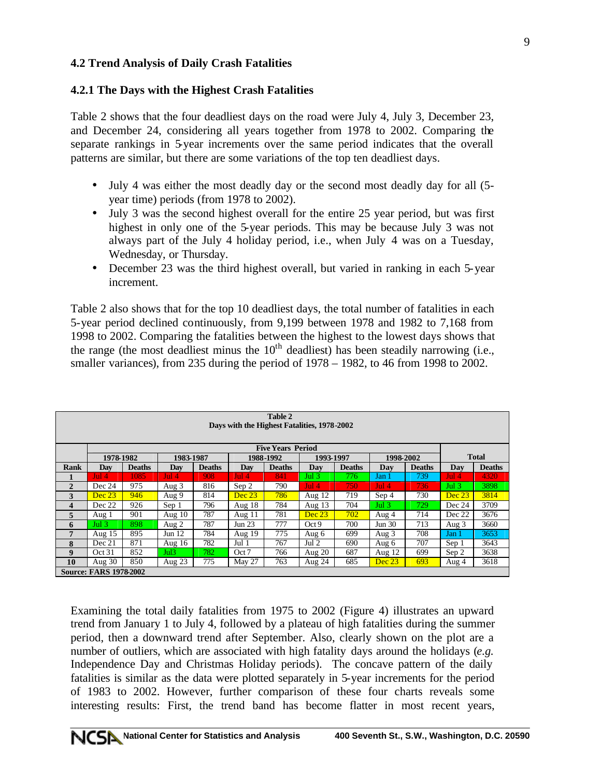#### **4.2 Trend Analysis of Daily Crash Fatalities**

#### **4.2.1 The Days with the Highest Crash Fatalities**

Table 2 shows that the four deadliest days on the road were July 4, July 3, December 23, and December 24, considering all years together from 1978 to 2002. Comparing the separate rankings in 5-year increments over the same period indicates that the overall patterns are similar, but there are some variations of the top ten deadliest days.

- July 4 was either the most deadly day or the second most deadly day for all (5 year time) periods (from 1978 to 2002).
- July 3 was the second highest overall for the entire 25 year period, but was first highest in only one of the 5-year periods. This may be because July 3 was not always part of the July 4 holiday period, i.e., when July 4 was on a Tuesday, Wednesday, or Thursday.
- December 23 was the third highest overall, but varied in ranking in each 5-year increment.

Table 2 also shows that for the top 10 deadliest days, the total number of fatalities in each 5-year period declined continuously, from 9,199 between 1978 and 1982 to 7,168 from 1998 to 2002. Comparing the fatalities between the highest to the lowest days shows that the range (the most deadliest minus the  $10<sup>th</sup>$  deadliest) has been steadily narrowing (i.e., smaller variances), from 235 during the period of 1978 – 1982, to 46 from 1998 to 2002.

| Table 2<br>Days with the Highest Fatalities, 1978-2002 |                               |               |           |               |          |               |                  |               |           |               |              |               |  |
|--------------------------------------------------------|-------------------------------|---------------|-----------|---------------|----------|---------------|------------------|---------------|-----------|---------------|--------------|---------------|--|
| <b>Five Years Period</b>                               |                               |               |           |               |          |               |                  |               |           |               |              |               |  |
|                                                        | 1978-1982                     |               | 1983-1987 |               |          | 1988-1992     | 1993-1997        |               | 1998-2002 |               | <b>Total</b> |               |  |
| <b>Rank</b>                                            | Dav                           | <b>Deaths</b> | Dav       | <b>Deaths</b> | Day      | <b>Deaths</b> | Day              | <b>Deaths</b> | Dav       | <b>Deaths</b> | Day          | <b>Deaths</b> |  |
|                                                        | Jul 4                         | 1085          | Jul 4     | 908           | $Jul$ 4  | 841           | Jul <sub>3</sub> | 776.          | Jan 1     | 739           | Jul 4        | 4320          |  |
| $\overline{2}$                                         | Dec 24                        | 975           | Aug $3$   | 816           | Sep 2    | 790           | $Jul$ 4          | 750.          | Jul 4     | 736           | Jul $3$      | 3898          |  |
| 3                                                      | Dec 23                        | 946           | Aug 9     | 814           | Dec 23   | 786           | Aug $12$         | 719           | Sep 4     | 730           | Dec 23       | 3814          |  |
| $\overline{\mathbf{4}}$                                | Dec 22                        | 926           | Sep 1     | 796           | Aug $18$ | 784           | Aug $13$         | 704           | Jul $3$   | 729           | Dec 24       | 3709          |  |
| 5                                                      | Aug 1                         | 901           | Aug $10$  | 787           | Aug $11$ | 781           | Dec 23           | 702           | Aug 4     | 714           | Dec 22       | 3676          |  |
| 6                                                      | Jul $3$                       | 898           | Aug $2$   | 787           | Jun 23   | 777           | Oct9             | 700           | Jun 30    | 713           | Aug 3        | 3660          |  |
| 7                                                      | Aug $15$                      | 895           | Jun $12$  | 784           | Aug $19$ | 775           | Aug 6            | 699           | Aug $3$   | 708           | Jan 1        | 3653          |  |
| 8                                                      | Dec 21                        | 871           | Aug $16$  | 782           | Jul 1    | 767           | Jul 2            | 690           | Aug 6     | 707           | Sep 1        | 3643          |  |
| 9                                                      | Oct 31                        | 852           | Jul3      | 782           | Oct 7    | 766           | Aug $20$         | 687           | Aug $12$  | 699           | Sep 2        | 3638          |  |
| 10                                                     | Aug $30$                      | 850           | Aug $23$  | 775           | May 27   | 763           | Aug 24           | 685           | Dec 23    | 693           | Aug 4        | 3618          |  |
|                                                        | <b>Source: FARS 1978-2002</b> |               |           |               |          |               |                  |               |           |               |              |               |  |

Examining the total daily fatalities from 1975 to 2002 (Figure 4) illustrates an upward trend from January 1 to July 4, followed by a plateau of high fatalities during the summer period, then a downward trend after September. Also, clearly shown on the plot are a number of outliers, which are associated with high fatality days around the holidays (*e.g.* Independence Day and Christmas Holiday periods). The concave pattern of the daily fatalities is similar as the data were plotted separately in 5-year increments for the period of 1983 to 2002. However, further comparison of these four charts reveals some interesting results: First, the trend band has become flatter in most recent years,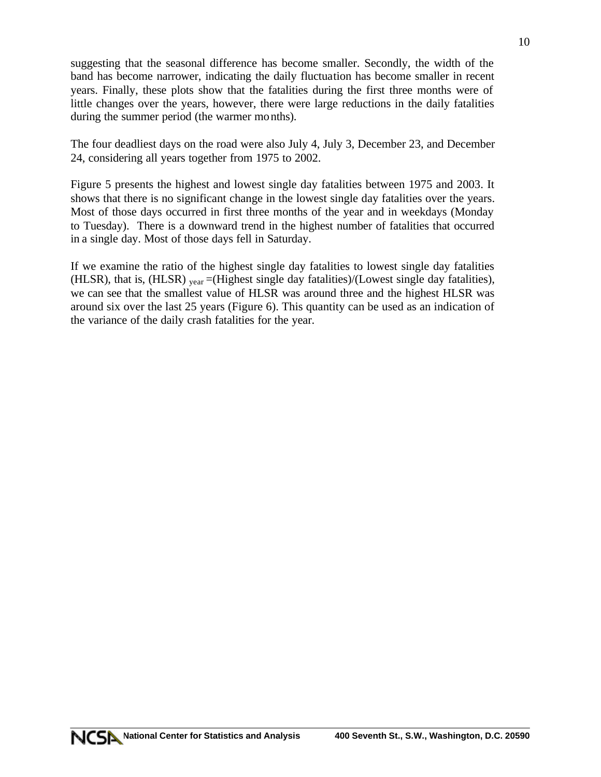suggesting that the seasonal difference has become smaller. Secondly, the width of the band has become narrower, indicating the daily fluctuation has become smaller in recent years. Finally, these plots show that the fatalities during the first three months were of little changes over the years, however, there were large reductions in the daily fatalities during the summer period (the warmer months).

The four deadliest days on the road were also July 4, July 3, December 23, and December 24, considering all years together from 1975 to 2002.

Figure 5 presents the highest and lowest single day fatalities between 1975 and 2003. It shows that there is no significant change in the lowest single day fatalities over the years. Most of those days occurred in first three months of the year and in weekdays (Monday to Tuesday). There is a downward trend in the highest number of fatalities that occurred in a single day. Most of those days fell in Saturday.

If we examine the ratio of the highest single day fatalities to lowest single day fatalities (HLSR), that is, (HLSR)  $_{\text{year}}$  =(Highest single day fatalities)/(Lowest single day fatalities), we can see that the smallest value of HLSR was around three and the highest HLSR was around six over the last 25 years (Figure 6). This quantity can be used as an indication of the variance of the daily crash fatalities for the year.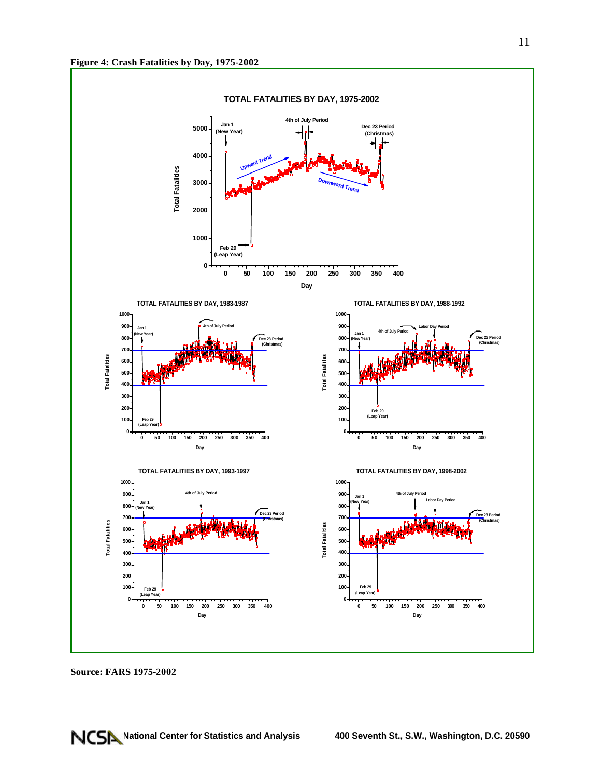

**Source: FARS 1975-2002**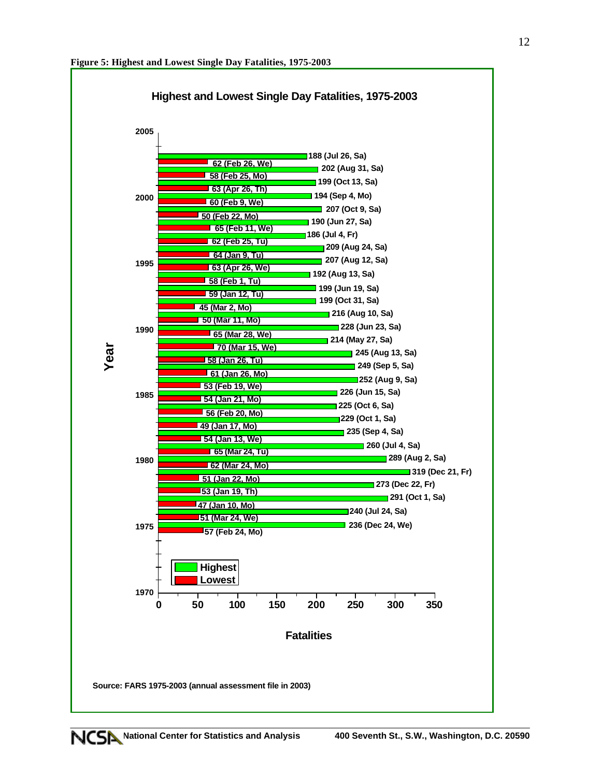

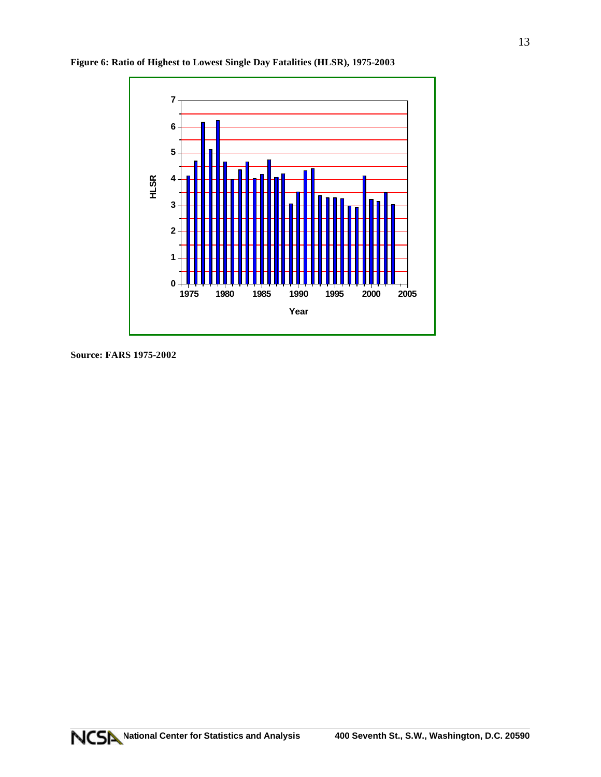

**Figure 6: Ratio of Highest to Lowest Single Day Fatalities (HLSR), 1975-2003**

**Source: FARS 1975-2002**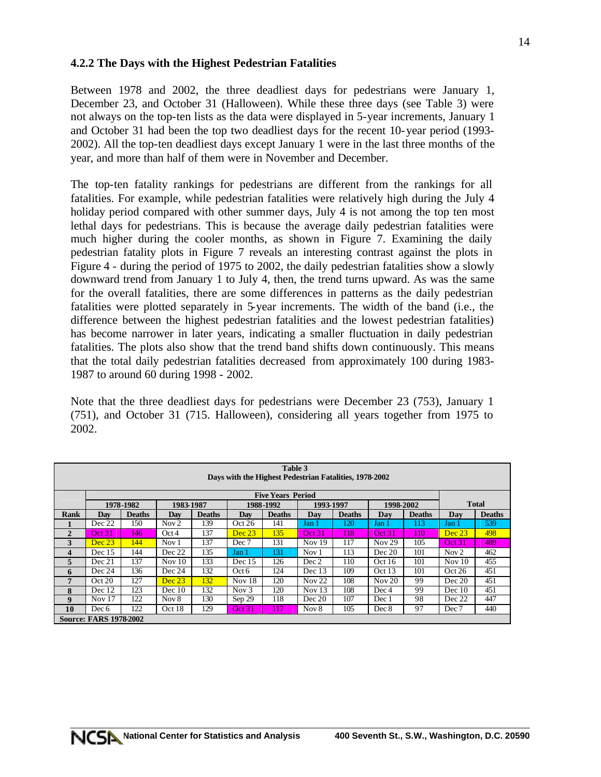#### **4.2.2 The Days with the Highest Pedestrian Fatalities**

Between 1978 and 2002, the three deadliest days for pedestrians were January 1, December 23, and October 31 (Halloween). While these three days (see Table 3) were not always on the top-ten lists as the data were displayed in 5-year increments, January 1 and October 31 had been the top two deadliest days for the recent 10-year period (1993- 2002). All the top-ten deadliest days except January 1 were in the last three months of the year, and more than half of them were in November and December.

The top-ten fatality rankings for pedestrians are different from the rankings for all fatalities. For example, while pedestrian fatalities were relatively high during the July 4 holiday period compared with other summer days, July 4 is not among the top ten most lethal days for pedestrians. This is because the average daily pedestrian fatalities were much higher during the cooler months, as shown in Figure 7. Examining the daily pedestrian fatality plots in Figure 7 reveals an interesting contrast against the plots in Figure 4 - during the period of 1975 to 2002, the daily pedestrian fatalities show a slowly downward trend from January 1 to July 4, then, the trend turns upward. As was the same for the overall fatalities, there are some differences in patterns as the daily pedestrian fatalities were plotted separately in 5-year increments. The width of the band (i.e., the difference between the highest pedestrian fatalities and the lowest pedestrian fatalities) has become narrower in later years, indicating a smaller fluctuation in daily pedestrian fatalities. The plots also show that the trend band shifts down continuously. This means that the total daily pedestrian fatalities decreased from approximately 100 during 1983- 1987 to around 60 during 1998 - 2002.

Note that the three deadliest days for pedestrians were December 23 (753), January 1 (751), and October 31 (715. Halloween), considering all years together from 1975 to 2002.

| Table 3<br>Days with the Highest Pedestrian Fatalities, 1978-2002 |                               |               |                  |               |          |               |           |               |                   |               |                  |               |
|-------------------------------------------------------------------|-------------------------------|---------------|------------------|---------------|----------|---------------|-----------|---------------|-------------------|---------------|------------------|---------------|
|                                                                   | <b>Five Years Period</b>      |               |                  |               |          |               |           |               |                   |               |                  |               |
|                                                                   |                               | 1978-1982     | 1983-1987        |               |          | 1988-1992     | 1993-1997 |               | 1998-2002         |               |                  | <b>Total</b>  |
| <b>Rank</b>                                                       | Dav                           | <b>Deaths</b> | Dav              | <b>Deaths</b> | Dav      | <b>Deaths</b> | Day       | <b>Deaths</b> | Day               | <b>Deaths</b> | Day              | <b>Deaths</b> |
|                                                                   | Dec 22                        | 150           | Nov <sub>2</sub> | 139           | Oct 26   | 141           | Jan 1     | 120           | Jan 1             | 113           | Jan 1            | 539           |
| $\overline{2}$                                                    | Oct 31                        | 146           | Oct4             | 137           | Dec 23   | 135           | Oct 31    | 118           | Oct 31            | 110           | Dec 23           | 498           |
| 3                                                                 | Dec 23                        | 144           | Nov <sub>1</sub> | 137           | Dec 7    | 131           | Nov $19$  | 117           | Nov <sub>29</sub> | 105           | Oct 31           | 489           |
| $\boldsymbol{4}$                                                  | Dec $15$                      | 144           | Dec 22           | 135           | Jan 1    | 131           | Nov 1     | 113           | Dec 20            | 101           | Nov <sub>2</sub> | 462           |
| 5                                                                 | Dec 21                        | 137           | Nov $10$         | 133           | Dec $15$ | 126           | Dec 2     | 110           | Oct $16$          | 101           | Nov $10$         | 455           |
| 6                                                                 | Dec 24                        | 136           | Dec 24           | 132           | Oct 6    | 124           | Dec $13$  | 109           | Oct 13            | 101           | Oct 26           | 451           |
| 7                                                                 | Oct 20                        | 127           | Dec 23           | 132           | Nov $18$ | 120           | Nov $22$  | 108           | Nov <sub>20</sub> | 99            | Dec 20           | 451           |
| 8                                                                 | Dec 12                        | 123           | Dec 10           | 132           | Nov $3$  | 120           | Nov $13$  | 108           | Dec 4             | 99            | Dec 10           | 451           |
| 9                                                                 | Nov $17$                      | 122           | Nov 8            | 130           | Sep 29   | 118           | Dec 20    | 107           | Dec 1             | 98            | Dec 22           | 447           |
| 10                                                                | Dec 6                         | 122           | Oct 18           | 129           | Oct 31   | 117           | Nov 8     | 105           | Dec 8             | 97            | Dec 7            | 440           |
|                                                                   | <b>Source: FARS 1978-2002</b> |               |                  |               |          |               |           |               |                   |               |                  |               |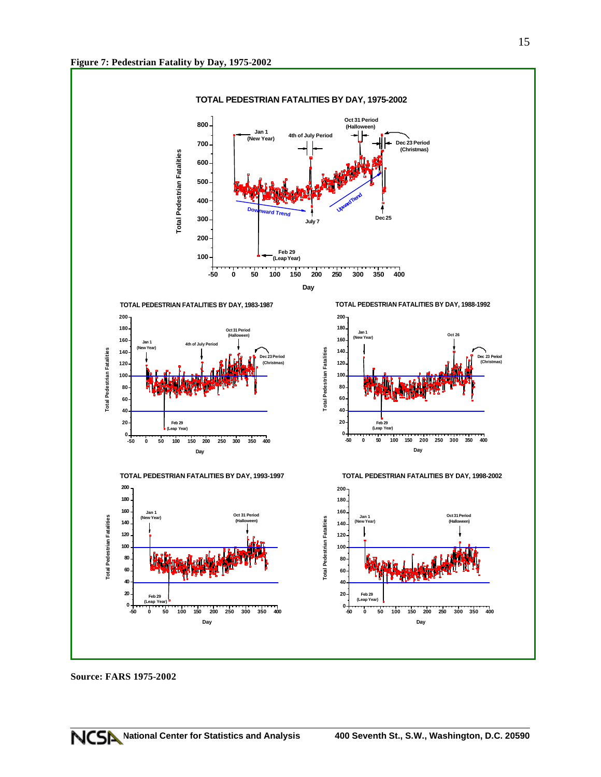

**Source: FARS 1975-2002**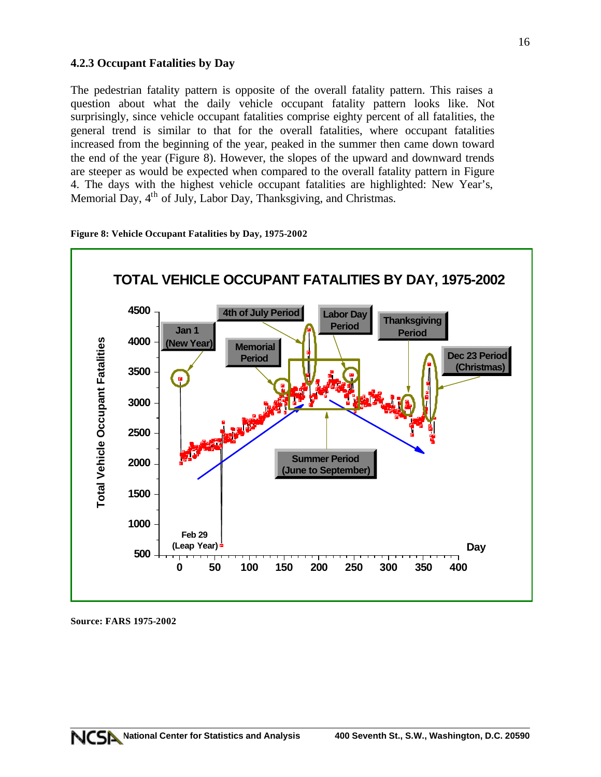### **4.2.3 Occupant Fatalities by Day**

The pedestrian fatality pattern is opposite of the overall fatality pattern. This raises a question about what the daily vehicle occupant fatality pattern looks like. Not surprisingly, since vehicle occupant fatalities comprise eighty percent of all fatalities, the general trend is similar to that for the overall fatalities, where occupant fatalities increased from the beginning of the year, peaked in the summer then came down toward the end of the year (Figure 8). However, the slopes of the upward and downward trends are steeper as would be expected when compared to the overall fatality pattern in Figure 4. The days with the highest vehicle occupant fatalities are highlighted: New Year's, Memorial Day, 4<sup>th</sup> of July, Labor Day, Thanksgiving, and Christmas.





**Source: FARS 1975-2002**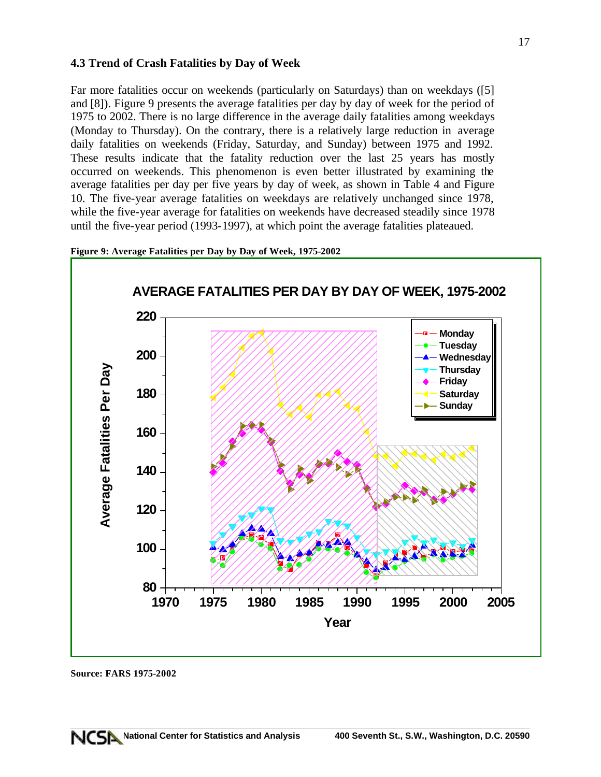#### **4.3 Trend of Crash Fatalities by Day of Week**

Far more fatalities occur on weekends (particularly on Saturdays) than on weekdays ([5] and [8]). Figure 9 presents the average fatalities per day by day of week for the period of 1975 to 2002. There is no large difference in the average daily fatalities among weekdays (Monday to Thursday). On the contrary, there is a relatively large reduction in average daily fatalities on weekends (Friday, Saturday, and Sunday) between 1975 and 1992. These results indicate that the fatality reduction over the last 25 years has mostly occurred on weekends. This phenomenon is even better illustrated by examining the average fatalities per day per five years by day of week, as shown in Table 4 and Figure 10. The five-year average fatalities on weekdays are relatively unchanged since 1978, while the five-year average for fatalities on weekends have decreased steadily since 1978 until the five-year period (1993-1997), at which point the average fatalities plateaued.





**Source: FARS 1975-2002**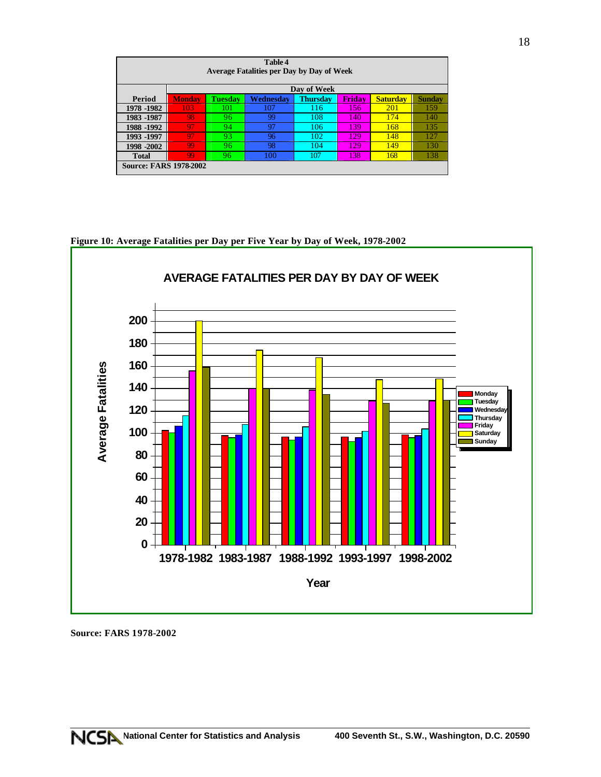| <b>Table 4</b><br><b>Average Fatalities per Day by Day of Week</b> |               |                |           |                 |               |                 |        |  |  |  |  |
|--------------------------------------------------------------------|---------------|----------------|-----------|-----------------|---------------|-----------------|--------|--|--|--|--|
| Day of Week                                                        |               |                |           |                 |               |                 |        |  |  |  |  |
| Period                                                             | <b>Monday</b> | <b>Tuesday</b> | Wednesdav | <b>Thursday</b> | <b>Fridav</b> | <b>Saturday</b> | Sundav |  |  |  |  |
| 1978 - 1982                                                        | 103           | 101            | 107       | 116             | 156           | <b>201</b>      | 159    |  |  |  |  |
| 1983 -1987                                                         | 98            | 96             | 99        | 108             | 140           | 174             | 140    |  |  |  |  |
| 1988 -1992                                                         | 97            | 94             | 97        | 106             | 139           | 168             | 135    |  |  |  |  |
| 1993 -1997                                                         | 97            | 93             | 96        | 102             | 129           | 148             | 127    |  |  |  |  |
| 1998 -2002                                                         | 99            | 96             | 98        | 104             | 129           | 149             | 130    |  |  |  |  |
| <b>Total</b>                                                       | 99            | 96             | 100       | 107             | 138           | 168             | 138    |  |  |  |  |
| <b>Source: FARS 1978-2002</b>                                      |               |                |           |                 |               |                 |        |  |  |  |  |

 **AVERAGE FATALITIES PER DAY BY DAY OF WEEK 200 180 Average Fatalities 160 Average Fatalities 140 Monday Tuesday 120 Wednesda Thursday Friday 100 Saturday Sunday 80 60 40 20 0 1978-1982 1983-1987 1988-1992 1993-1997 1998-2002 Year**

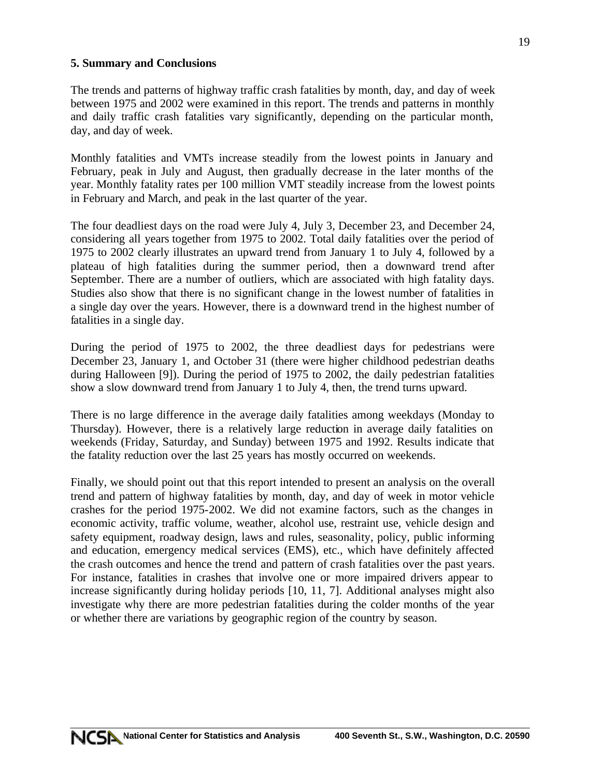### **5. Summary and Conclusions**

The trends and patterns of highway traffic crash fatalities by month, day, and day of week between 1975 and 2002 were examined in this report. The trends and patterns in monthly and daily traffic crash fatalities vary significantly, depending on the particular month, day, and day of week.

Monthly fatalities and VMTs increase steadily from the lowest points in January and February, peak in July and August, then gradually decrease in the later months of the year. Monthly fatality rates per 100 million VMT steadily increase from the lowest points in February and March, and peak in the last quarter of the year.

The four deadliest days on the road were July 4, July 3, December 23, and December 24, considering all years together from 1975 to 2002. Total daily fatalities over the period of 1975 to 2002 clearly illustrates an upward trend from January 1 to July 4, followed by a plateau of high fatalities during the summer period, then a downward trend after September. There are a number of outliers, which are associated with high fatality days. Studies also show that there is no significant change in the lowest number of fatalities in a single day over the years. However, there is a downward trend in the highest number of fatalities in a single day.

During the period of 1975 to 2002, the three deadliest days for pedestrians were December 23, January 1, and October 31 (there were higher childhood pedestrian deaths during Halloween [9]). During the period of 1975 to 2002, the daily pedestrian fatalities show a slow downward trend from January 1 to July 4, then, the trend turns upward.

There is no large difference in the average daily fatalities among weekdays (Monday to Thursday). However, there is a relatively large reduction in average daily fatalities on weekends (Friday, Saturday, and Sunday) between 1975 and 1992. Results indicate that the fatality reduction over the last 25 years has mostly occurred on weekends.

Finally, we should point out that this report intended to present an analysis on the overall trend and pattern of highway fatalities by month, day, and day of week in motor vehicle crashes for the period 1975-2002. We did not examine factors, such as the changes in economic activity, traffic volume, weather, alcohol use, restraint use, vehicle design and safety equipment, roadway design, laws and rules, seasonality, policy, public informing and education, emergency medical services (EMS), etc., which have definitely affected the crash outcomes and hence the trend and pattern of crash fatalities over the past years. For instance, fatalities in crashes that involve one or more impaired drivers appear to increase significantly during holiday periods [10, 11, 7]. Additional analyses might also investigate why there are more pedestrian fatalities during the colder months of the year or whether there are variations by geographic region of the country by season.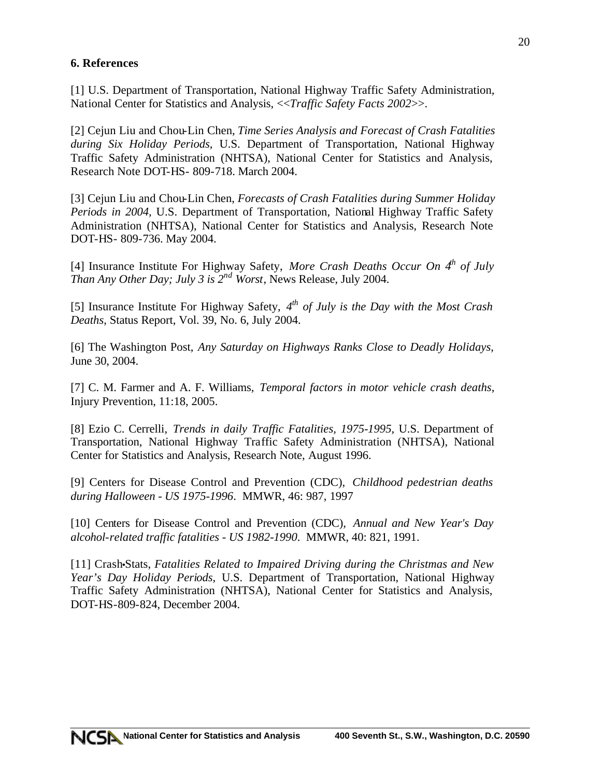# **6. References**

[1] U.S. Department of Transportation, National Highway Traffic Safety Administration, National Center for Statistics and Analysis, <<*Traffic Safety Facts 2002*>>.

[2] Cejun Liu and Chou-Lin Chen, *Time Series Analysis and Forecast of Crash Fatalities during Six Holiday Periods,* U.S. Department of Transportation, National Highway Traffic Safety Administration (NHTSA), National Center for Statistics and Analysis, Research Note DOT-HS- 809-718. March 2004.

[3] Cejun Liu and Chou-Lin Chen, *Forecasts of Crash Fatalities during Summer Holiday Periods in 2004,* U.S. Department of Transportation, National Highway Traffic Safety Administration (NHTSA), National Center for Statistics and Analysis, Research Note DOT-HS- 809-736. May 2004.

[4] Insurance Institute For Highway Safety, *More Crash Deaths Occur On 4th of July Than Any Other Day; July 3 is 2nd Worst*, News Release, July 2004.

[5] Insurance Institute For Highway Safety, *4 th of July is the Day with the Most Crash Deaths*, Status Report, Vol. 39, No. 6, July 2004.

[6] The Washington Post, *Any Saturday on Highways Ranks Close to Deadly Holidays*, June 30, 2004.

[7] C. M. Farmer and A. F. Williams, *Temporal factors in motor vehicle crash deaths*, Injury Prevention, 11:18, 2005.

[8] Ezio C. Cerrelli, *Trends in daily Traffic Fatalities, 1975-1995*, U.S. Department of Transportation, National Highway Traffic Safety Administration (NHTSA), National Center for Statistics and Analysis, Research Note, August 1996.

[9] Centers for Disease Control and Prevention (CDC), *Childhood pedestrian deaths during Halloween - US 1975-1996*. MMWR, 46: 987, 1997

[10] Centers for Disease Control and Prevention (CDC), *Annual and New Year's Day alcohol-related traffic fatalities - US 1982-1990*. MMWR, 40: 821, 1991.

[11] Crash•Stats, *Fatalities Related to Impaired Driving during the Christmas and New Year's Day Holiday Periods*, U.S. Department of Transportation, National Highway Traffic Safety Administration (NHTSA), National Center for Statistics and Analysis, DOT-HS-809-824, December 2004.